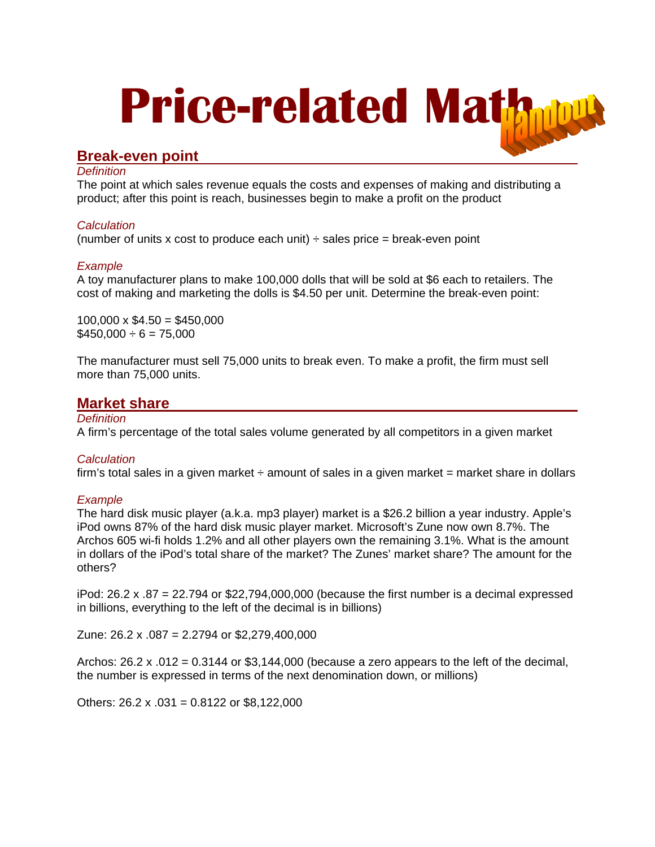# **Price-related Mat**

# **Break-even point**

# *Definition*

The point at which sales revenue equals the costs and expenses of making and distributing a product; after this point is reach, businesses begin to make a profit on the product

# *Calculation*

(number of units x cost to produce each unit)  $\div$  sales price = break-even point

# *Example*

A toy manufacturer plans to make 100,000 dolls that will be sold at \$6 each to retailers. The cost of making and marketing the dolls is \$4.50 per unit. Determine the break-even point:

 $100,000 \times $4.50 = $450,000$  $$450,000 \div 6 = 75,000$ 

The manufacturer must sell 75,000 units to break even. To make a profit, the firm must sell more than 75,000 units.

# **Market share**

### *Definition*

A firm's percentage of the total sales volume generated by all competitors in a given market

# *Calculation*

firm's total sales in a given market  $\div$  amount of sales in a given market = market share in dollars

# *Example*

The hard disk music player (a.k.a. mp3 player) market is a \$26.2 billion a year industry. Apple's iPod owns 87% of the hard disk music player market. Microsoft's Zune now own 8.7%. The Archos 605 wi-fi holds 1.2% and all other players own the remaining 3.1%. What is the amount in dollars of the iPod's total share of the market? The Zunes' market share? The amount for the others?

iPod:  $26.2 \times .87 = 22.794$  or \$22,794,000,000 (because the first number is a decimal expressed in billions, everything to the left of the decimal is in billions)

Zune: 26.2 x .087 = 2.2794 or \$2,279,400,000

Archos:  $26.2 \times 0.012 = 0.3144$  or \$3,144,000 (because a zero appears to the left of the decimal, the number is expressed in terms of the next denomination down, or millions)

Others:  $26.2 \times 0.031 = 0.8122$  or \$8,122,000